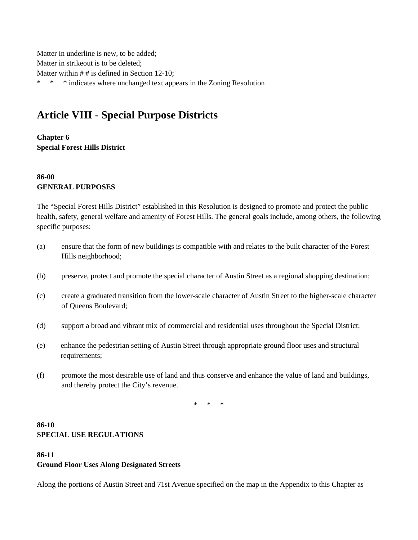Matter in underline is new, to be added; Matter in strikeout is to be deleted; Matter within # # is defined in Section 12-10; \* \* \* indicates where unchanged text appears in the Zoning Resolution

# **Article VIII - Special Purpose Districts**

**Chapter 6 Special Forest Hills District**

## **86-00 GENERAL PURPOSES**

The "Special Forest Hills District" established in this Resolution is designed to promote and protect the public health, safety, general welfare and amenity of Forest Hills. The general goals include, among others, the following specific purposes:

- (a) ensure that the form of new buildings is compatible with and relates to the built character of the Forest Hills neighborhood;
- (b) preserve, protect and promote the special character of Austin Street as a regional shopping destination;
- (c) create a graduated transition from the lower-scale character of Austin Street to the higher-scale character of Queens Boulevard;
- (d) support a broad and vibrant mix of commercial and residential uses throughout the Special District;
- (e) enhance the pedestrian setting of Austin Street through appropriate ground floor uses and structural requirements;
- (f) promote the most desirable use of land and thus conserve and enhance the value of land and buildings, and thereby protect the City's revenue.

\* \* \*

## **86-10 SPECIAL USE REGULATIONS**

#### **86-11 Ground Floor Uses Along Designated Streets**

Along the portions of Austin Street and 71st Avenue specified on the map in the Appendix to this Chapter as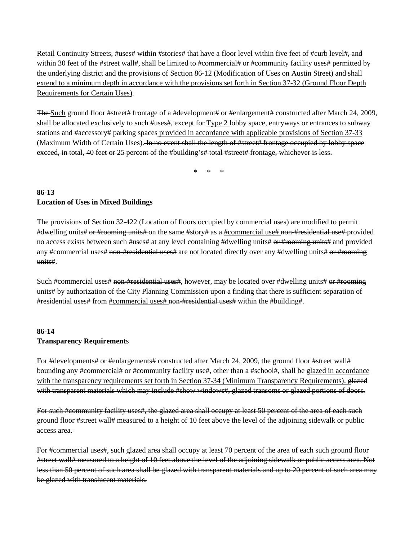Retail Continuity Streets, #uses# within #stories# that have a floor level within five feet of #curb level#, and within 30 feet of the #street wall#, shall be limited to #commercial# or #community facility uses# permitted by the underlying district and the provisions of Section 86-12 (Modification of Uses on Austin Street) and shall extend to a minimum depth in accordance with the provisions set forth in Section 37-32 (Ground Floor Depth Requirements for Certain Uses).

The Such ground floor #street# frontage of a #development# or #enlargement# constructed after March 24, 2009, shall be allocated exclusively to such #uses#, except for Type 2 lobby space, entryways or entrances to subway stations and #accessory# parking spaces provided in accordance with applicable provisions of Section 37-33 (Maximum Width of Certain Uses). In no event shall the length of #street# frontage occupied by lobby space exceed, in total, 40 feet or 25 percent of the #building's# total #street# frontage, whichever is less.

\* \* \*

## **86-13 Location of Uses in Mixed Buildings**

The provisions of Section 32-422 (Location of floors occupied by commercial uses) are modified to permit #dwelling units# or #rooming units# on the same #story# as a #commercial use# non-#residential use# provided no access exists between such #uses# at any level containing #dwelling units# or #rooming units# and provided any #commercial uses# non-#residential uses# are not located directly over any #dwelling units# or #rooming units#.

Such #commercial uses# non-#residential uses#, however, may be located over #dwelling units# or #rooming units# by authorization of the City Planning Commission upon a finding that there is sufficient separation of #residential uses# from #commercial uses# non-#residential uses# within the #building#.

# **86-14 Transparency Requirement**s

For #developments# or #enlargements# constructed after March 24, 2009, the ground floor #street wall# bounding any #commercial# or #community facility use#, other than a #school#, shall be glazed in accordance with the transparency requirements set forth in Section 37-34 (Minimum Transparency Requirements). glazed with transparent materials which may include #show windows#, glazed transoms or glazed portions of doors.

For such #community facility uses#, the glazed area shall occupy at least 50 percent of the area of each such ground floor #street wall# measured to a height of 10 feet above the level of the adjoining sidewalk or public access area.

For #commercial uses#, such glazed area shall occupy at least 70 percent of the area of each such ground floor #street wall# measured to a height of 10 feet above the level of the adjoining sidewalk or public access area. Not less than 50 percent of such area shall be glazed with transparent materials and up to 20 percent of such area may be glazed with translucent materials.